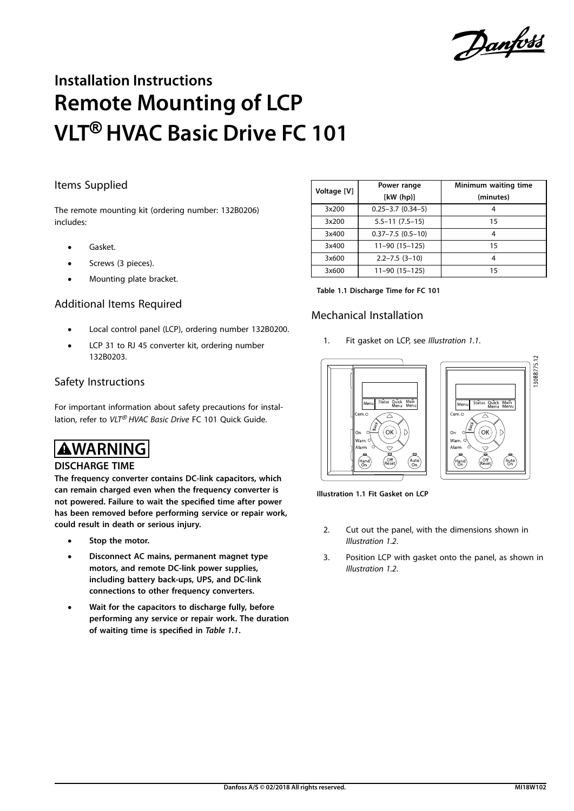Danfoss

# **Installation Instructions Remote Mounting of LCP VLT**® **HVAC Basic Drive FC 101**

# Items Supplied

The remote mounting kit (ordering number: 132B0206) includes:

- **•** Gasket.
- **•** Screws (3 pieces).
- **•** Mounting plate bracket.

## Additional Items Required

- **•** Local control panel (LCP), ordering number 132B0200.
- **•** LCP 31 to RJ 45 converter kit, ordering number 132B0203.

## Safety Instructions

For important information about safety precautions for installation, refer to VLT<sup>®</sup> HVAC Basic Drive FC 101 Ouick Guide.

# **WARNING**

#### **DISCHARGE TIME**

**The frequency converter contains DC-link capacitors, which can remain charged even when the frequency converter is not powered. Failure to wait the specified time after power has been removed before performing service or repair work, could result in death or serious injury.**

- **• Stop the motor.**
- **• Disconnect AC mains, permanent magnet type motors, and remote DC-link power supplies, including battery back-ups, UPS, and DC-link connections to other frequency converters.**
- **• Wait for the capacitors to discharge fully, before performing any service or repair work. The duration of waiting time is specified in** *Table 1.1***.**

| Voltage [V] | Power range<br>[kW(hp)]   | Minimum waiting time<br>(minutes) |
|-------------|---------------------------|-----------------------------------|
| 3x200       | $0.25 - 3.7$ $(0.34 - 5)$ | 4                                 |
| 3x200       | $5.5 - 11(7.5 - 15)$      | 15                                |
| 3x400       | $0.37 - 7.5$ (0.5-10)     |                                   |
| 3x400       | $11-90(15-125)$           | 15                                |
| 3x600       | $2.2 - 7.5$ (3-10)        |                                   |
| 3x600       | 11-90 (15-125)            | 15                                |

**Table 1.1 Discharge Time for FC 101**

# Mechanical Installation

1. Fit gasket on LCP, see Illustration 1.1.



**Illustration 1.1 Fit Gasket on LCP**

- 2. Cut out the panel, with the dimensions shown in [Illustration 1.2](#page-1-0).
- 3. Position LCP with gasket onto the panel, as shown in [Illustration 1.2](#page-1-0).